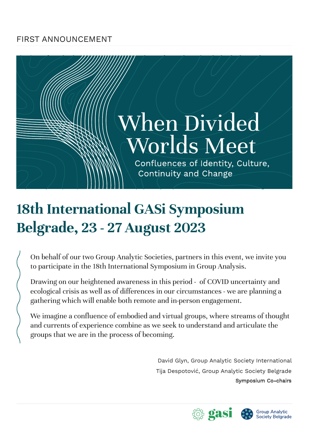## FIRST ANNOUNCEMENT

## When Divided **Worlds Meet**

Confluences of Identity, Culture, Continuity and Change

## **18th International GASi Symposium Belgrade, 23 - 27 August 2023**

On behalf of our two Group Analytic Societies, partners in this event, we invite you to participate in the 18th International Symposium in Group Analysis.

Drawing on our heightened awareness in this period - of COVID uncertainty and ecological crisis as well as of differences in our circumstances - we are planning a gathering which will enable both remote and in-person engagement.

We imagine a confluence of embodied and virtual groups, where streams of thought and currents of experience combine as we seek to understand and articulate the groups that we are in the process of becoming.

> David Glyn, Group Analytic Society International Tija Despotović, Group Analytic Society Belgrade Symposium Co-chairs